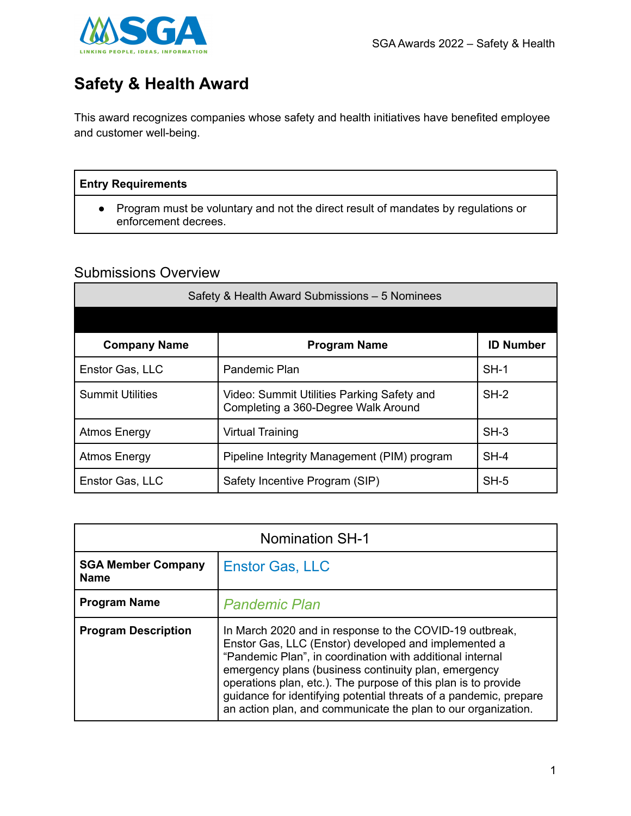

## **Safety & Health Award**

This award recognizes companies whose safety and health initiatives have benefited employee and customer well-being.

## **Entry Requirements**

● Program must be voluntary and not the direct result of mandates by regulations or enforcement decrees.

## Submissions Overview

| Safety & Health Award Submissions - 5 Nominees |                                                                                   |                  |
|------------------------------------------------|-----------------------------------------------------------------------------------|------------------|
|                                                |                                                                                   |                  |
| <b>Company Name</b>                            | <b>Program Name</b>                                                               | <b>ID Number</b> |
| Enstor Gas, LLC                                | Pandemic Plan                                                                     | $SH-1$           |
| <b>Summit Utilities</b>                        | Video: Summit Utilities Parking Safety and<br>Completing a 360-Degree Walk Around | $SH-2$           |
| Atmos Energy                                   | <b>Virtual Training</b>                                                           | $SH-3$           |
| Atmos Energy                                   | Pipeline Integrity Management (PIM) program                                       | $SH-4$           |
| Enstor Gas, LLC                                | Safety Incentive Program (SIP)                                                    | $SH-5$           |

| <b>Nomination SH-1</b>                   |                                                                                                                                                                                                                                                                                                                                                                                                                                              |
|------------------------------------------|----------------------------------------------------------------------------------------------------------------------------------------------------------------------------------------------------------------------------------------------------------------------------------------------------------------------------------------------------------------------------------------------------------------------------------------------|
| <b>SGA Member Company</b><br><b>Name</b> | <b>Enstor Gas, LLC</b>                                                                                                                                                                                                                                                                                                                                                                                                                       |
| <b>Program Name</b>                      | <b>Pandemic Plan</b>                                                                                                                                                                                                                                                                                                                                                                                                                         |
| <b>Program Description</b>               | In March 2020 and in response to the COVID-19 outbreak,<br>Enstor Gas, LLC (Enstor) developed and implemented a<br>"Pandemic Plan", in coordination with additional internal<br>emergency plans (business continuity plan, emergency<br>operations plan, etc.). The purpose of this plan is to provide<br>guidance for identifying potential threats of a pandemic, prepare<br>an action plan, and communicate the plan to our organization. |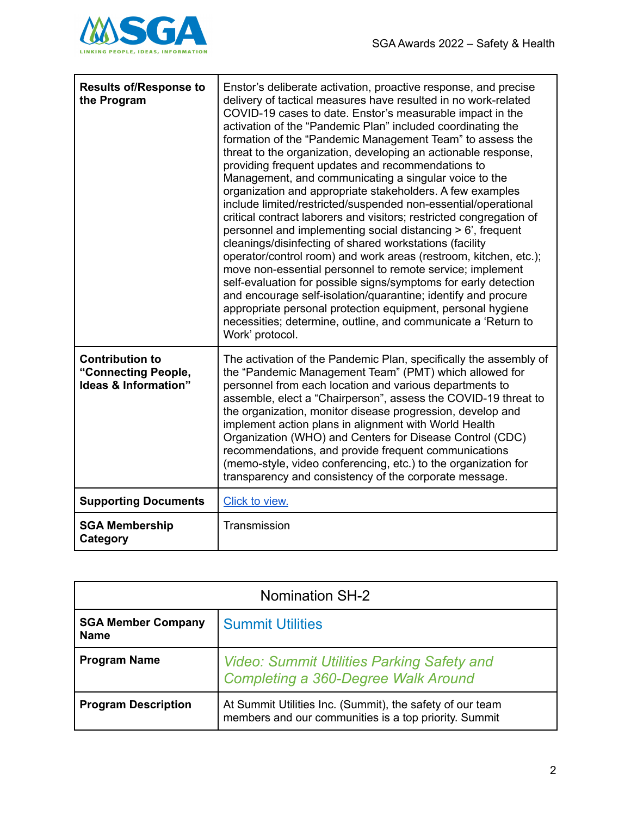

| <b>Results of/Response to</b><br>the Program                          | Enstor's deliberate activation, proactive response, and precise<br>delivery of tactical measures have resulted in no work-related<br>COVID-19 cases to date. Enstor's measurable impact in the<br>activation of the "Pandemic Plan" included coordinating the<br>formation of the "Pandemic Management Team" to assess the<br>threat to the organization, developing an actionable response,<br>providing frequent updates and recommendations to<br>Management, and communicating a singular voice to the<br>organization and appropriate stakeholders. A few examples<br>include limited/restricted/suspended non-essential/operational<br>critical contract laborers and visitors; restricted congregation of<br>personnel and implementing social distancing > 6', frequent<br>cleanings/disinfecting of shared workstations (facility<br>operator/control room) and work areas (restroom, kitchen, etc.);<br>move non-essential personnel to remote service; implement<br>self-evaluation for possible signs/symptoms for early detection<br>and encourage self-isolation/quarantine; identify and procure<br>appropriate personal protection equipment, personal hygiene<br>necessities; determine, outline, and communicate a 'Return to<br>Work' protocol. |
|-----------------------------------------------------------------------|--------------------------------------------------------------------------------------------------------------------------------------------------------------------------------------------------------------------------------------------------------------------------------------------------------------------------------------------------------------------------------------------------------------------------------------------------------------------------------------------------------------------------------------------------------------------------------------------------------------------------------------------------------------------------------------------------------------------------------------------------------------------------------------------------------------------------------------------------------------------------------------------------------------------------------------------------------------------------------------------------------------------------------------------------------------------------------------------------------------------------------------------------------------------------------------------------------------------------------------------------------------------|
| <b>Contribution to</b><br>"Connecting People,<br>Ideas & Information" | The activation of the Pandemic Plan, specifically the assembly of<br>the "Pandemic Management Team" (PMT) which allowed for<br>personnel from each location and various departments to<br>assemble, elect a "Chairperson", assess the COVID-19 threat to<br>the organization, monitor disease progression, develop and<br>implement action plans in alignment with World Health<br>Organization (WHO) and Centers for Disease Control (CDC)<br>recommendations, and provide frequent communications<br>(memo-style, video conferencing, etc.) to the organization for<br>transparency and consistency of the corporate message.                                                                                                                                                                                                                                                                                                                                                                                                                                                                                                                                                                                                                                    |
| <b>Supporting Documents</b>                                           | Click to view.                                                                                                                                                                                                                                                                                                                                                                                                                                                                                                                                                                                                                                                                                                                                                                                                                                                                                                                                                                                                                                                                                                                                                                                                                                                     |
| <b>SGA Membership</b><br>Category                                     | Transmission                                                                                                                                                                                                                                                                                                                                                                                                                                                                                                                                                                                                                                                                                                                                                                                                                                                                                                                                                                                                                                                                                                                                                                                                                                                       |

| <b>Nomination SH-2</b>                   |                                                                                                                    |
|------------------------------------------|--------------------------------------------------------------------------------------------------------------------|
| <b>SGA Member Company</b><br><b>Name</b> | <b>Summit Utilities</b>                                                                                            |
| <b>Program Name</b>                      | <b>Video: Summit Utilities Parking Safety and</b><br><b>Completing a 360-Degree Walk Around</b>                    |
| <b>Program Description</b>               | At Summit Utilities Inc. (Summit), the safety of our team<br>members and our communities is a top priority. Summit |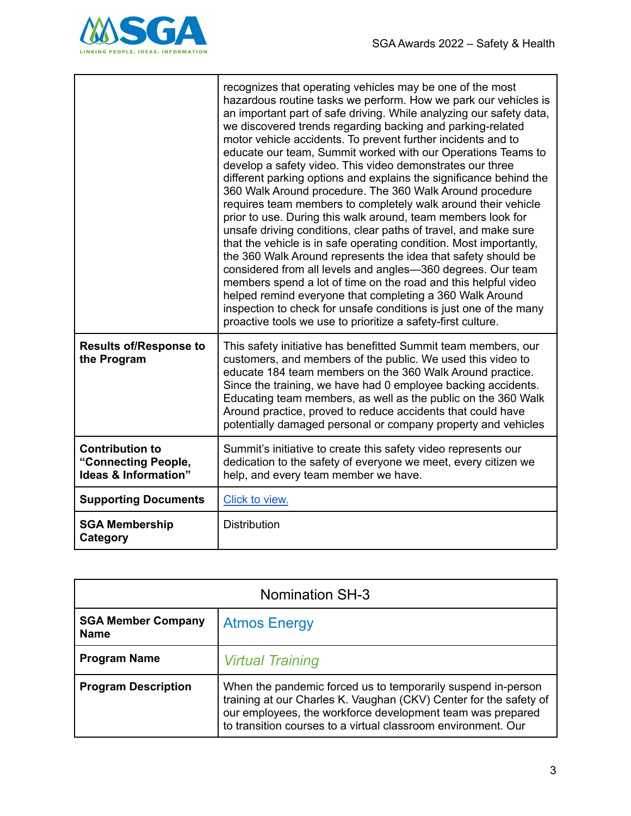

|                                                                       | recognizes that operating vehicles may be one of the most<br>hazardous routine tasks we perform. How we park our vehicles is<br>an important part of safe driving. While analyzing our safety data,<br>we discovered trends regarding backing and parking-related<br>motor vehicle accidents. To prevent further incidents and to<br>educate our team, Summit worked with our Operations Teams to<br>develop a safety video. This video demonstrates our three<br>different parking options and explains the significance behind the<br>360 Walk Around procedure. The 360 Walk Around procedure<br>requires team members to completely walk around their vehicle<br>prior to use. During this walk around, team members look for<br>unsafe driving conditions, clear paths of travel, and make sure<br>that the vehicle is in safe operating condition. Most importantly,<br>the 360 Walk Around represents the idea that safety should be<br>considered from all levels and angles-360 degrees. Our team<br>members spend a lot of time on the road and this helpful video<br>helped remind everyone that completing a 360 Walk Around<br>inspection to check for unsafe conditions is just one of the many<br>proactive tools we use to prioritize a safety-first culture. |
|-----------------------------------------------------------------------|-------------------------------------------------------------------------------------------------------------------------------------------------------------------------------------------------------------------------------------------------------------------------------------------------------------------------------------------------------------------------------------------------------------------------------------------------------------------------------------------------------------------------------------------------------------------------------------------------------------------------------------------------------------------------------------------------------------------------------------------------------------------------------------------------------------------------------------------------------------------------------------------------------------------------------------------------------------------------------------------------------------------------------------------------------------------------------------------------------------------------------------------------------------------------------------------------------------------------------------------------------------------------------|
| <b>Results of/Response to</b><br>the Program                          | This safety initiative has benefitted Summit team members, our<br>customers, and members of the public. We used this video to<br>educate 184 team members on the 360 Walk Around practice.<br>Since the training, we have had 0 employee backing accidents.<br>Educating team members, as well as the public on the 360 Walk<br>Around practice, proved to reduce accidents that could have<br>potentially damaged personal or company property and vehicles                                                                                                                                                                                                                                                                                                                                                                                                                                                                                                                                                                                                                                                                                                                                                                                                                  |
| <b>Contribution to</b><br>"Connecting People,<br>Ideas & Information" | Summit's initiative to create this safety video represents our<br>dedication to the safety of everyone we meet, every citizen we<br>help, and every team member we have.                                                                                                                                                                                                                                                                                                                                                                                                                                                                                                                                                                                                                                                                                                                                                                                                                                                                                                                                                                                                                                                                                                      |
| <b>Supporting Documents</b>                                           | Click to view.                                                                                                                                                                                                                                                                                                                                                                                                                                                                                                                                                                                                                                                                                                                                                                                                                                                                                                                                                                                                                                                                                                                                                                                                                                                                |
| <b>SGA Membership</b><br>Category                                     | <b>Distribution</b>                                                                                                                                                                                                                                                                                                                                                                                                                                                                                                                                                                                                                                                                                                                                                                                                                                                                                                                                                                                                                                                                                                                                                                                                                                                           |

| <b>Nomination SH-3</b>                   |                                                                                                                                                                                                                                                                  |
|------------------------------------------|------------------------------------------------------------------------------------------------------------------------------------------------------------------------------------------------------------------------------------------------------------------|
| <b>SGA Member Company</b><br><b>Name</b> | <b>Atmos Energy</b>                                                                                                                                                                                                                                              |
| <b>Program Name</b>                      | <b>Virtual Training</b>                                                                                                                                                                                                                                          |
| <b>Program Description</b>               | When the pandemic forced us to temporarily suspend in-person<br>training at our Charles K. Vaughan (CKV) Center for the safety of<br>our employees, the workforce development team was prepared<br>to transition courses to a virtual classroom environment. Our |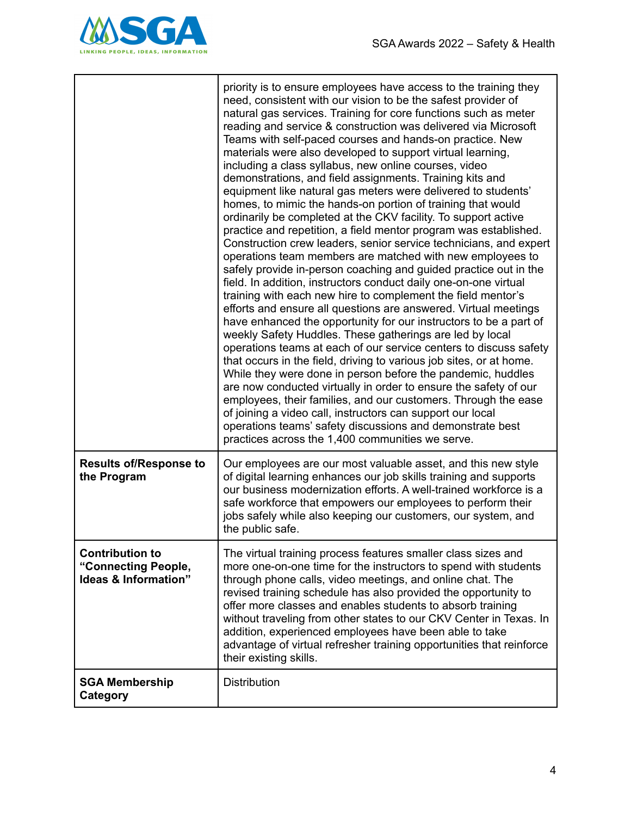

|                                                                                  | priority is to ensure employees have access to the training they<br>need, consistent with our vision to be the safest provider of<br>natural gas services. Training for core functions such as meter<br>reading and service & construction was delivered via Microsoft<br>Teams with self-paced courses and hands-on practice. New<br>materials were also developed to support virtual learning,<br>including a class syllabus, new online courses, video<br>demonstrations, and field assignments. Training kits and<br>equipment like natural gas meters were delivered to students'<br>homes, to mimic the hands-on portion of training that would<br>ordinarily be completed at the CKV facility. To support active<br>practice and repetition, a field mentor program was established.<br>Construction crew leaders, senior service technicians, and expert<br>operations team members are matched with new employees to<br>safely provide in-person coaching and guided practice out in the<br>field. In addition, instructors conduct daily one-on-one virtual<br>training with each new hire to complement the field mentor's<br>efforts and ensure all questions are answered. Virtual meetings<br>have enhanced the opportunity for our instructors to be a part of<br>weekly Safety Huddles. These gatherings are led by local<br>operations teams at each of our service centers to discuss safety<br>that occurs in the field, driving to various job sites, or at home.<br>While they were done in person before the pandemic, huddles<br>are now conducted virtually in order to ensure the safety of our<br>employees, their families, and our customers. Through the ease<br>of joining a video call, instructors can support our local<br>operations teams' safety discussions and demonstrate best<br>practices across the 1,400 communities we serve. |
|----------------------------------------------------------------------------------|---------------------------------------------------------------------------------------------------------------------------------------------------------------------------------------------------------------------------------------------------------------------------------------------------------------------------------------------------------------------------------------------------------------------------------------------------------------------------------------------------------------------------------------------------------------------------------------------------------------------------------------------------------------------------------------------------------------------------------------------------------------------------------------------------------------------------------------------------------------------------------------------------------------------------------------------------------------------------------------------------------------------------------------------------------------------------------------------------------------------------------------------------------------------------------------------------------------------------------------------------------------------------------------------------------------------------------------------------------------------------------------------------------------------------------------------------------------------------------------------------------------------------------------------------------------------------------------------------------------------------------------------------------------------------------------------------------------------------------------------------------------------------------------------------------------------------------------------------------------------------|
| <b>Results of/Response to</b><br>the Program                                     | Our employees are our most valuable asset, and this new style<br>of digital learning enhances our job skills training and supports<br>our business modernization efforts. A well-trained workforce is a<br>safe workforce that empowers our employees to perform their<br>jobs safely while also keeping our customers, our system, and<br>the public safe.                                                                                                                                                                                                                                                                                                                                                                                                                                                                                                                                                                                                                                                                                                                                                                                                                                                                                                                                                                                                                                                                                                                                                                                                                                                                                                                                                                                                                                                                                                               |
| <b>Contribution to</b><br>"Connecting People,<br><b>Ideas &amp; Information"</b> | The virtual training process features smaller class sizes and<br>more one-on-one time for the instructors to spend with students<br>through phone calls, video meetings, and online chat. The<br>revised training schedule has also provided the opportunity to<br>offer more classes and enables students to absorb training<br>without traveling from other states to our CKV Center in Texas. In<br>addition, experienced employees have been able to take<br>advantage of virtual refresher training opportunities that reinforce<br>their existing skills.                                                                                                                                                                                                                                                                                                                                                                                                                                                                                                                                                                                                                                                                                                                                                                                                                                                                                                                                                                                                                                                                                                                                                                                                                                                                                                           |
| <b>SGA Membership</b><br>Category                                                | Distribution                                                                                                                                                                                                                                                                                                                                                                                                                                                                                                                                                                                                                                                                                                                                                                                                                                                                                                                                                                                                                                                                                                                                                                                                                                                                                                                                                                                                                                                                                                                                                                                                                                                                                                                                                                                                                                                              |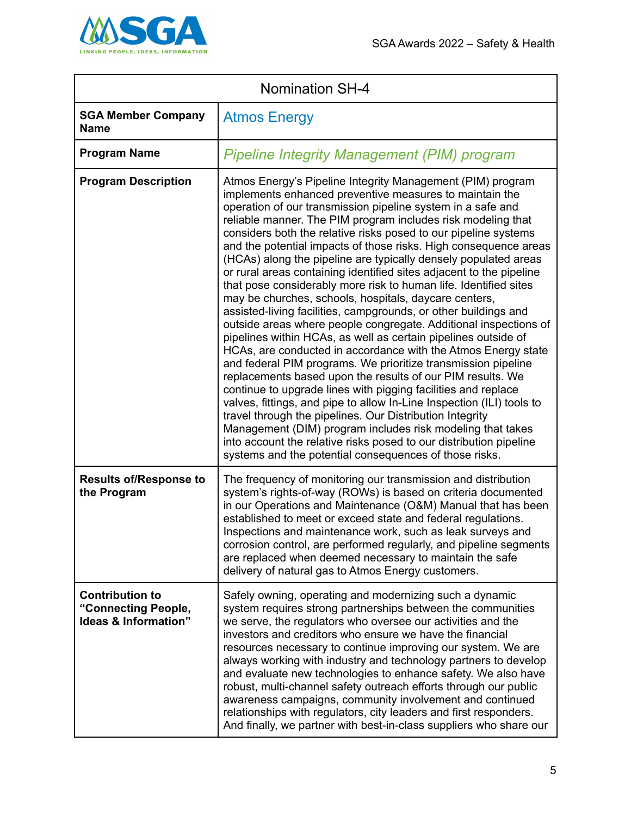

| <b>Nomination SH-4</b>                                                |                                                                                                                                                                                                                                                                                                                                                                                                                                                                                                                                                                                                                                                                                                                                                                                                                                                                                                                                                                                                                                                                                                                                                                                                                                                                                                                                                                                                                                                                                 |
|-----------------------------------------------------------------------|---------------------------------------------------------------------------------------------------------------------------------------------------------------------------------------------------------------------------------------------------------------------------------------------------------------------------------------------------------------------------------------------------------------------------------------------------------------------------------------------------------------------------------------------------------------------------------------------------------------------------------------------------------------------------------------------------------------------------------------------------------------------------------------------------------------------------------------------------------------------------------------------------------------------------------------------------------------------------------------------------------------------------------------------------------------------------------------------------------------------------------------------------------------------------------------------------------------------------------------------------------------------------------------------------------------------------------------------------------------------------------------------------------------------------------------------------------------------------------|
| <b>SGA Member Company</b><br><b>Name</b>                              | <b>Atmos Energy</b>                                                                                                                                                                                                                                                                                                                                                                                                                                                                                                                                                                                                                                                                                                                                                                                                                                                                                                                                                                                                                                                                                                                                                                                                                                                                                                                                                                                                                                                             |
| <b>Program Name</b>                                                   | <b>Pipeline Integrity Management (PIM) program</b>                                                                                                                                                                                                                                                                                                                                                                                                                                                                                                                                                                                                                                                                                                                                                                                                                                                                                                                                                                                                                                                                                                                                                                                                                                                                                                                                                                                                                              |
| <b>Program Description</b>                                            | Atmos Energy's Pipeline Integrity Management (PIM) program<br>implements enhanced preventive measures to maintain the<br>operation of our transmission pipeline system in a safe and<br>reliable manner. The PIM program includes risk modeling that<br>considers both the relative risks posed to our pipeline systems<br>and the potential impacts of those risks. High consequence areas<br>(HCAs) along the pipeline are typically densely populated areas<br>or rural areas containing identified sites adjacent to the pipeline<br>that pose considerably more risk to human life. Identified sites<br>may be churches, schools, hospitals, daycare centers,<br>assisted-living facilities, campgrounds, or other buildings and<br>outside areas where people congregate. Additional inspections of<br>pipelines within HCAs, as well as certain pipelines outside of<br>HCAs, are conducted in accordance with the Atmos Energy state<br>and federal PIM programs. We prioritize transmission pipeline<br>replacements based upon the results of our PIM results. We<br>continue to upgrade lines with pigging facilities and replace<br>valves, fittings, and pipe to allow In-Line Inspection (ILI) tools to<br>travel through the pipelines. Our Distribution Integrity<br>Management (DIM) program includes risk modeling that takes<br>into account the relative risks posed to our distribution pipeline<br>systems and the potential consequences of those risks. |
| <b>Results of/Response to</b><br>the Program                          | The frequency of monitoring our transmission and distribution<br>system's rights-of-way (ROWs) is based on criteria documented<br>in our Operations and Maintenance (O&M) Manual that has been<br>established to meet or exceed state and federal regulations.<br>Inspections and maintenance work, such as leak surveys and<br>corrosion control, are performed regularly, and pipeline segments<br>are replaced when deemed necessary to maintain the safe<br>delivery of natural gas to Atmos Energy customers.                                                                                                                                                                                                                                                                                                                                                                                                                                                                                                                                                                                                                                                                                                                                                                                                                                                                                                                                                              |
| <b>Contribution to</b><br>"Connecting People,<br>Ideas & Information" | Safely owning, operating and modernizing such a dynamic<br>system requires strong partnerships between the communities<br>we serve, the regulators who oversee our activities and the<br>investors and creditors who ensure we have the financial<br>resources necessary to continue improving our system. We are<br>always working with industry and technology partners to develop<br>and evaluate new technologies to enhance safety. We also have<br>robust, multi-channel safety outreach efforts through our public<br>awareness campaigns, community involvement and continued<br>relationships with regulators, city leaders and first responders.<br>And finally, we partner with best-in-class suppliers who share our                                                                                                                                                                                                                                                                                                                                                                                                                                                                                                                                                                                                                                                                                                                                                |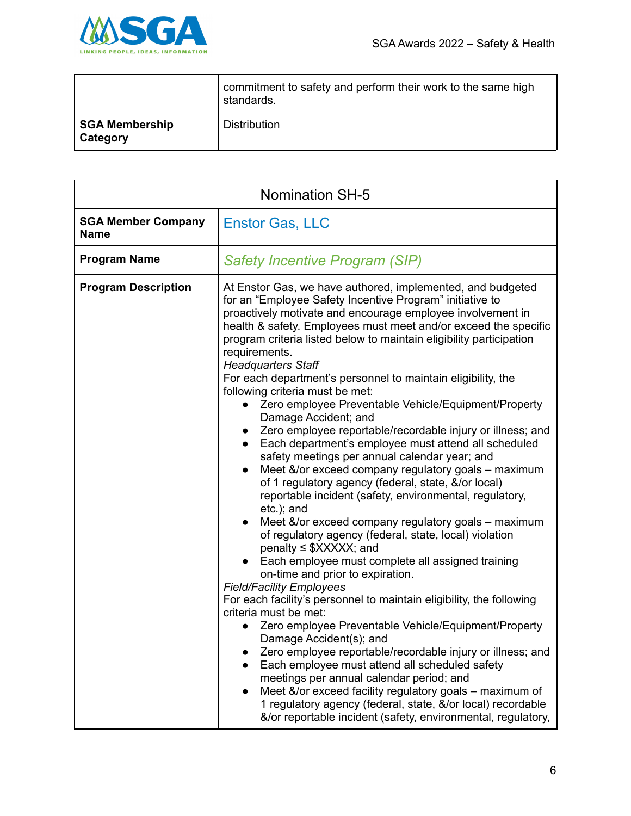

|                                   | commitment to safety and perform their work to the same high<br>standards. |
|-----------------------------------|----------------------------------------------------------------------------|
| SGA Membership<br><b>Category</b> | <b>Distribution</b>                                                        |

| <b>Nomination SH-5</b>                   |                                                                                                                                                                                                                                                                                                                                                                                                                                                                                                                                                                                                                                                                                                                                                                                                                                                                                                                                                                                                                                                                                                                                                                                                                                                                                                                                                                                                                                                                                                                                                                                                                                                                                                                                                                                                         |
|------------------------------------------|---------------------------------------------------------------------------------------------------------------------------------------------------------------------------------------------------------------------------------------------------------------------------------------------------------------------------------------------------------------------------------------------------------------------------------------------------------------------------------------------------------------------------------------------------------------------------------------------------------------------------------------------------------------------------------------------------------------------------------------------------------------------------------------------------------------------------------------------------------------------------------------------------------------------------------------------------------------------------------------------------------------------------------------------------------------------------------------------------------------------------------------------------------------------------------------------------------------------------------------------------------------------------------------------------------------------------------------------------------------------------------------------------------------------------------------------------------------------------------------------------------------------------------------------------------------------------------------------------------------------------------------------------------------------------------------------------------------------------------------------------------------------------------------------------------|
| <b>SGA Member Company</b><br><b>Name</b> | <b>Enstor Gas, LLC</b>                                                                                                                                                                                                                                                                                                                                                                                                                                                                                                                                                                                                                                                                                                                                                                                                                                                                                                                                                                                                                                                                                                                                                                                                                                                                                                                                                                                                                                                                                                                                                                                                                                                                                                                                                                                  |
| <b>Program Name</b>                      | <b>Safety Incentive Program (SIP)</b>                                                                                                                                                                                                                                                                                                                                                                                                                                                                                                                                                                                                                                                                                                                                                                                                                                                                                                                                                                                                                                                                                                                                                                                                                                                                                                                                                                                                                                                                                                                                                                                                                                                                                                                                                                   |
| <b>Program Description</b>               | At Enstor Gas, we have authored, implemented, and budgeted<br>for an "Employee Safety Incentive Program" initiative to<br>proactively motivate and encourage employee involvement in<br>health & safety. Employees must meet and/or exceed the specific<br>program criteria listed below to maintain eligibility participation<br>requirements.<br><b>Headquarters Staff</b><br>For each department's personnel to maintain eligibility, the<br>following criteria must be met:<br>Zero employee Preventable Vehicle/Equipment/Property<br>Damage Accident; and<br>Zero employee reportable/recordable injury or illness; and<br>$\bullet$<br>Each department's employee must attend all scheduled<br>$\bullet$<br>safety meetings per annual calendar year; and<br>Meet &/or exceed company regulatory goals - maximum<br>$\bullet$<br>of 1 regulatory agency (federal, state, &/or local)<br>reportable incident (safety, environmental, regulatory,<br>etc.); and<br>Meet &/or exceed company regulatory goals – maximum<br>$\bullet$<br>of regulatory agency (federal, state, local) violation<br>$penalty \leq$ \$XXXXX; and<br>Each employee must complete all assigned training<br>on-time and prior to expiration.<br><b>Field/Facility Employees</b><br>For each facility's personnel to maintain eligibility, the following<br>criteria must be met:<br>Zero employee Preventable Vehicle/Equipment/Property<br>Damage Accident(s); and<br>Zero employee reportable/recordable injury or illness; and<br>Each employee must attend all scheduled safety<br>meetings per annual calendar period; and<br>Meet &/or exceed facility regulatory goals – maximum of<br>1 regulatory agency (federal, state, &/or local) recordable<br>&/or reportable incident (safety, environmental, regulatory, |